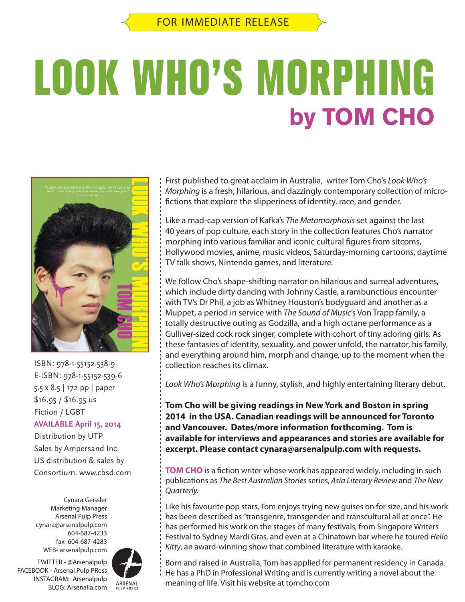# **LOOK WHO'S MORPHING by TOM CHO**



ISBN: 978-1-55152-538-9 E-ISBN: 978-1-55152-539-6 5.5 x 8.5 | 172 pp | paper \$16.95 / \$16.95 us Fiction / LGBT **AVAILABLE April 15, 2014** Distribution by UTP Sales by Ampersand Inc.

US distribution & sales by Consortium. www.cbsd.com

Cynara Geissler Marketing Manager Arsenal Pulp Press cynara@arsenalpulp.com 604-687-4233 fax 604-687-4283 WEB- arsenalpulp.com



First published to great acclaim in Australia, writer Tom Cho's *Look Who's Morphing* is a fresh, hilarious, and dazzingly contemporary collection of microfictions that explore the slipperiness of identity, race, and gender.

Like a mad-cap version of Kafka's *The Metamorphosis* set against the last 40 years of pop culture, each story in the collection features Cho's narrator morphing into various familiar and iconic cultural figures from sitcoms, Hollywood movies, anime, music videos, Saturday-morning cartoons, daytime TV talk shows, Nintendo games, and literature.

We follow Cho's shape-shifting narrator on hilarious and surreal adventures, which include dirty dancing with Johnny Castle, a rambunctious encounter with TV's Dr Phil, a job as Whitney Houston's bodyguard and another as a Muppet, a period in service with *The Sound of Music*'s Von Trapp family, a totally destructive outing as Godzilla, and a high octane performance as a Gulliver-sized cock rock singer, complete with cohort of tiny adoring girls. As these fantasies of identity, sexuality, and power unfold, the narrator, his family, and everything around him, morph and change, up to the moment when the collection reaches its climax.

*Look Who's Morphing* is a funny, stylish, and highly entertaining literary debut.

**Tom Cho will be giving readings in New York and Boston in spring 2014 in the USA. Canadian readings will be announced for Toronto and Vancouver. Dates/more information forthcoming. Tom is available for interviews and appearances and stories are available for excerpt. Please contact cynara@arsenalpulp.com with requests.**

**TOM CHO** is a fiction writer whose work has appeared widely, including in such publications as *The Best Australian Stories* series, *Asia Literary Review* and *The New Quarterly.*

Like his favourite pop stars, Tom enjoys trying new guises on for size, and his work has been described as "transgenre, transgender and transcultural all at once". He has performed his work on the stages of many festivals, from Singapore Writers Festival to Sydney Mardi Gras, and even at a Chinatown bar where he toured *Hello Kitty*, an award-winning show that combined literature with karaoke.

Born and raised in Australia, Tom has applied for permanent residency in Canada. He has a PhD in Professional Writing and is currently writing a novel about the meaning of life. Visit his website at tomcho.com

FACEBOOK - Arsenal Pulp PRess INSTAGRAM: Arsenalpulp BLOG: Arsenalia.com PULP PRESS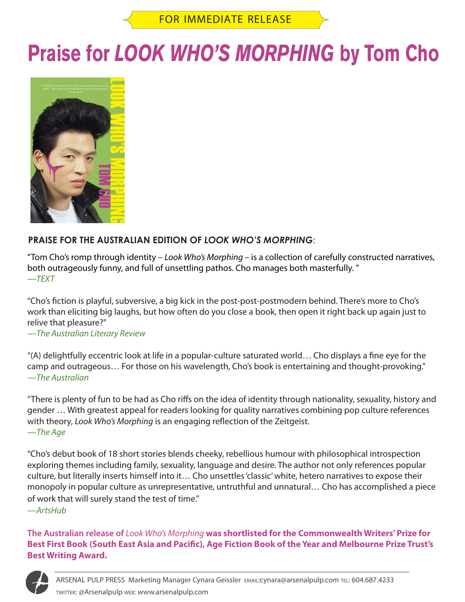### **Praise for** *LOOK WHO'S MORPHING* **by Tom Cho**



### **PRAISE FOR THE AUSTRALIAN EDITION OF** *LOOK WHO'S MORPHING***:**

"Tom Cho's romp through identity – *Look Who's Morphing –* is a collection of carefully constructed narratives, both outrageously funny, and full of unsettling pathos. Cho manages both masterfully. " —*TEXT*

"Cho's fiction is playful, subversive, a big kick in the post-post-postmodern behind. There's more to Cho's work than eliciting big laughs, but how often do you close a book, then open it right back up again just to relive that pleasure?"

—*The Australian Literary Review*

"(A) delightfully eccentric look at life in a popular-culture saturated world… Cho displays a fine eye for the camp and outrageous… For those on his wavelength, Cho's book is entertaining and thought-provoking." —*The Australian*

"There is plenty of fun to be had as Cho riffs on the idea of identity through nationality, sexuality, history and gender … With greatest appeal for readers looking for quality narratives combining pop culture references with theory, *Look Who's Morphing* is an engaging reflection of the Zeitgeist. —*The Age*

"Cho's debut book of 18 short stories blends cheeky, rebellious humour with philosophical introspection exploring themes including family, sexuality, language and desire. The author not only references popular culture, but literally inserts himself into it… Cho unsettles 'classic' white, hetero narratives to expose their monopoly in popular culture as unrepresentative, untruthful and unnatural… Cho has accomplished a piece of work that will surely stand the test of time."

—*ArtsHub*

**The Australian release of** *Look Who's Morphing* **was shortlisted for the Commonwealth Writers' Prize for Best First Book (South East Asia and Pacific), Age Fiction Book of the Year and Melbourne Prize Trust's Best Writing Award.**

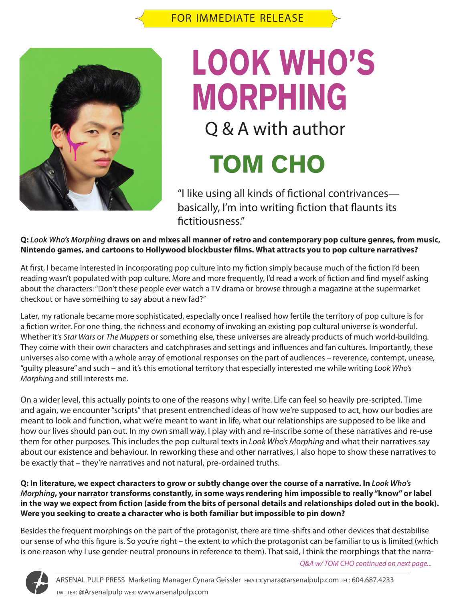

## **LOOK WHO'S** Q & A with author **MORPHING**

### **TOM CHO**

"I like using all kinds of fictional contrivances basically, I'm into writing fiction that flaunts its fictitiousness."

**Q:** *Look Who's Morphing* **draws on and mixes all manner of retro and contemporary pop culture genres, from music, Nintendo games, and cartoons to Hollywood blockbuster films. What attracts you to pop culture narratives?** 

At first, I became interested in incorporating pop culture into my fiction simply because much of the fiction I'd been reading wasn't populated with pop culture. More and more frequently, I'd read a work of fiction and find myself asking about the characters: "Don't these people ever watch a TV drama or browse through a magazine at the supermarket checkout or have something to say about a new fad?"

Later, my rationale became more sophisticated, especially once I realised how fertile the territory of pop culture is for a fiction writer. For one thing, the richness and economy of invoking an existing pop cultural universe is wonderful. Whether it's *Star Wars* or *The Muppets* or something else, these universes are already products of much world-building. They come with their own characters and catchphrases and settings and influences and fan cultures. Importantly, these universes also come with a whole array of emotional responses on the part of audiences – reverence, contempt, unease, "guilty pleasure" and such – and it's this emotional territory that especially interested me while writing *Look Who's Morphing* and still interests me.

On a wider level, this actually points to one of the reasons why I write. Life can feel so heavily pre-scripted. Time and again, we encounter "scripts" that present entrenched ideas of how we're supposed to act, how our bodies are meant to look and function, what we're meant to want in life, what our relationships are supposed to be like and how our lives should pan out. In my own small way, I play with and re-inscribe some of these narratives and re-use them for other purposes. This includes the pop cultural texts in *Look Who's Morphing* and what their narratives say about our existence and behaviour. In reworking these and other narratives, I also hope to show these narratives to be exactly that – they're narratives and not natural, pre-ordained truths.

**Q: In literature, we expect characters to grow or subtly change over the course of a narrative. In** *Look Who's Morphing***, your narrator transforms constantly, in some ways rendering him impossible to really "know" or label in the way we expect from fiction (aside from the bits of personal details and relationships doled out in the book). Were you seeking to create a character who is both familiar but impossible to pin down?** 

Besides the frequent morphings on the part of the protagonist, there are time-shifts and other devices that destabilise our sense of who this figure is. So you're right – the extent to which the protagonist can be familiar to us is limited (which is one reason why I use gender-neutral pronouns in reference to them). That said, I think the morphings that the narra-

*Q&A w/ TOM CHO continued on next page...*